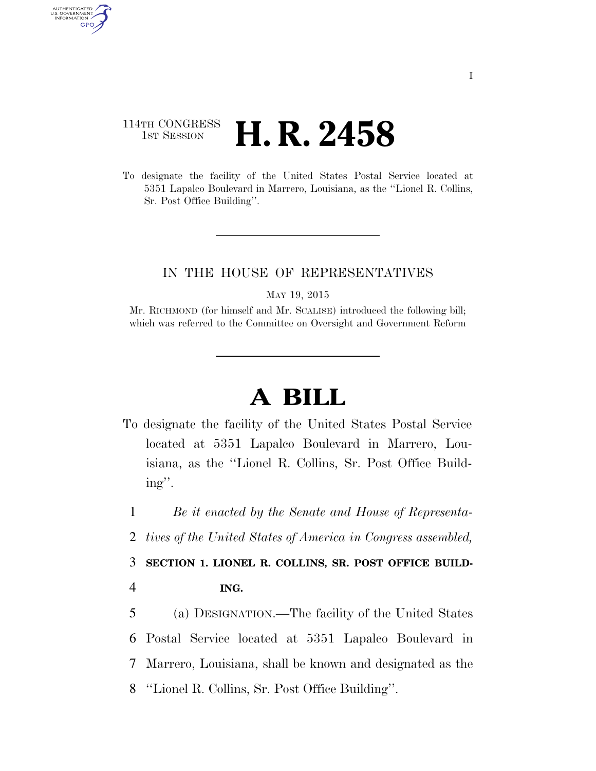## 114TH CONGRESS <sup>TH CONGRESS</sup> **H. R. 2458**

AUTHENTICATED U.S. GOVERNMENT GPO

> To designate the facility of the United States Postal Service located at 5351 Lapalco Boulevard in Marrero, Louisiana, as the ''Lionel R. Collins, Sr. Post Office Building''.

## IN THE HOUSE OF REPRESENTATIVES

MAY 19, 2015

Mr. RICHMOND (for himself and Mr. SCALISE) introduced the following bill; which was referred to the Committee on Oversight and Government Reform

## **A BILL**

To designate the facility of the United States Postal Service located at 5351 Lapalco Boulevard in Marrero, Louisiana, as the ''Lionel R. Collins, Sr. Post Office Building''.

1 *Be it enacted by the Senate and House of Representa-*

2 *tives of the United States of America in Congress assembled,* 

3 **SECTION 1. LIONEL R. COLLINS, SR. POST OFFICE BUILD-**4 **ING.** 

 (a) DESIGNATION.—The facility of the United States Postal Service located at 5351 Lapalco Boulevard in Marrero, Louisiana, shall be known and designated as the ''Lionel R. Collins, Sr. Post Office Building''.